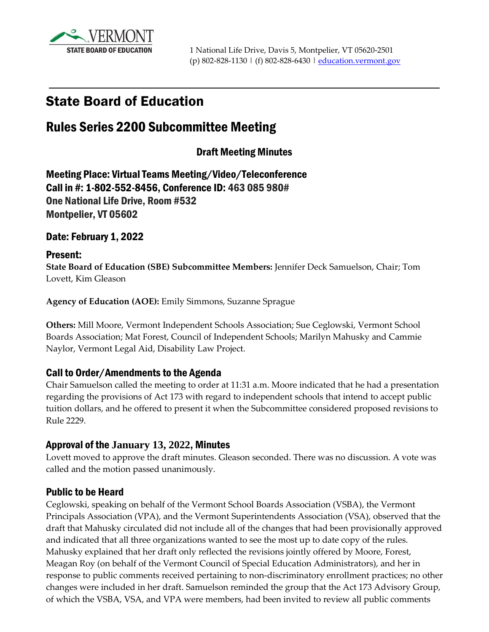

# State Board of Education

# Rules Series 2200 Subcommittee Meeting

## Draft Meeting Minutes

Meeting Place: Virtual Teams Meeting/Video/Teleconference Call in #: 1-802-552-8456, Conference ID: 463 085 980# One National Life Drive, Room #532 Montpelier, VT 05602

#### Date: February 1, 2022

#### Present:

**State Board of Education (SBE) Subcommittee Members:** Jennifer Deck Samuelson, Chair; Tom Lovett, Kim Gleason

**Agency of Education (AOE):** Emily Simmons, Suzanne Sprague

**Others:** Mill Moore, Vermont Independent Schools Association; Sue Ceglowski, Vermont School Boards Association; Mat Forest, Council of Independent Schools; Marilyn Mahusky and Cammie Naylor, Vermont Legal Aid, Disability Law Project.

### Call to Order/Amendments to the Agenda

Chair Samuelson called the meeting to order at 11:31 a.m. Moore indicated that he had a presentation regarding the provisions of Act 173 with regard to independent schools that intend to accept public tuition dollars, and he offered to present it when the Subcommittee considered proposed revisions to Rule 2229.

### Approval of the **January 13, 2022**, Minutes

Lovett moved to approve the draft minutes. Gleason seconded. There was no discussion. A vote was called and the motion passed unanimously.

#### Public to be Heard

Ceglowski, speaking on behalf of the Vermont School Boards Association (VSBA), the Vermont Principals Association (VPA), and the Vermont Superintendents Association (VSA), observed that the draft that Mahusky circulated did not include all of the changes that had been provisionally approved and indicated that all three organizations wanted to see the most up to date copy of the rules. Mahusky explained that her draft only reflected the revisions jointly offered by Moore, Forest, Meagan Roy (on behalf of the Vermont Council of Special Education Administrators), and her in response to public comments received pertaining to non-discriminatory enrollment practices; no other changes were included in her draft. Samuelson reminded the group that the Act 173 Advisory Group, of which the VSBA, VSA, and VPA were members, had been invited to review all public comments